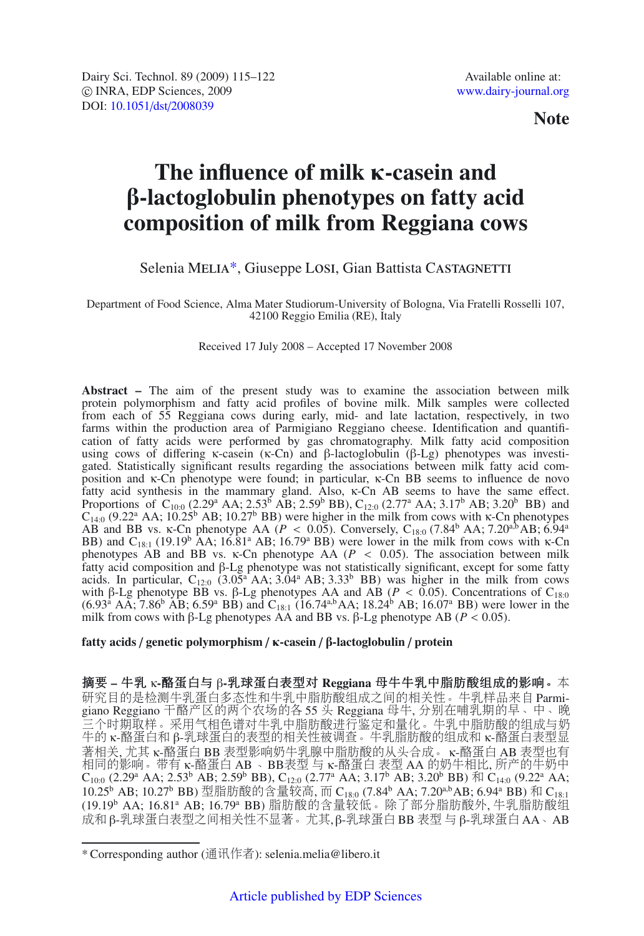Dairy Sci. Technol. 89 (2009) 115–122 Available online at: -c INRA, EDP Sciences, 2009 [www.dairy-journal.org](http://www.dairy-journal.org) DOI: 10.1051/dst/[2008039](http://dx.doi.org/10.1051/dst/2008039)

# **Note**

# **The influence of milk** κ**-casein and** β**-lactoglobulin phenotypes on fatty acid composition of milk from Reggiana cows**

## Selenia MELIA\*, Giuseppe LOSI, Gian Battista CASTAGNETTI

Department of Food Science, Alma Mater Studiorum-University of Bologna, Via Fratelli Rosselli 107, 42100 Reggio Emilia (RE), Italy

Received 17 July 2008 – Accepted 17 November 2008

**Abstract –** The aim of the present study was to examine the association between milk protein polymorphism and fatty acid profiles of bovine milk. Milk samples were collected from each of 55 Reggiana cows during early, mid- and late lactation, respectively, in two farms within the production area of Parmigiano Reggiano cheese. Identification and quantification of fatty acids were performed by gas chromatography. Milk fatty acid composition using cows of differing κ-casein (κ-Cn) and β-lactoglobulin (β-Lg) phenotypes was investigated. Statistically significant results regarding the associations between milk fatty acid composition and κ-Cn phenotype were found; in particular, κ-Cn BB seems to influence de novo fatty acid synthesis in the mammary gland. Also, κ-Cn AB seems to have the same effect. Proportions of C<sub>10:0</sub> (2.29<sup>a</sup> AA; 2.53<sup>b</sup> AB; 2.59<sup>b</sup> BB), C<sub>12:0</sub> (2.77<sup>a</sup> AA; 3.17<sup>b</sup> AB; 3.20<sup>b</sup> BB) and  $C_{14.0}$  (9.22<sup>a</sup> AA; 10.25<sup>b</sup> AB; 10.27<sup>b</sup> BB) were higher in the milk from cows with κ-Cn phenotypes AB and BB vs. κ-Cn phenotype AA ( $P < 0.05$ ). Conversely, C<sub>18:0</sub> (7.84<sup>b</sup> AA; 7.20<sup>a,b</sup>AB; 6.94<sup>a</sup> BB) and C<sub>18:1</sub> (19.19<sup>b</sup> AA; 16.81<sup>a</sup> AB; 16.79<sup>a</sup> BB) were lower in the milk from cows with κ-Cn phenotypes AB and BB vs. κ-Cn phenotype AA  $(P < 0.05)$ . The association between milk fatty acid composition and β-Lg phenotype was not statistically significant, except for some fatty acids. In particular,  $C_{12:0}$  (3.05<sup>a</sup> AA; 3.04<sup>a</sup> AB; 3.33<sup>b</sup> BB) was higher in the milk from cows with β-Lg phenotype BB vs. β-Lg phenotypes AA and AB ( $P < 0.05$ ). Concentrations of C<sub>18:0</sub> (6.93<sup>a</sup> AA; 7.86<sup>b</sup> AB; 6.59<sup>a</sup> BB) and C<sub>18:1</sub> (16.74<sup>a,b</sup>AA; 18.24<sup>b</sup> AB; 16.07<sup>a</sup> BB) were lower in the milk from cows with β-Lg phenotypes AA and BB vs. β-Lg phenotype AB ( $P < 0.05$ ).

#### **fatty acids** / **genetic polymorphism** / κ**-casein** / β**-lactoglobulin** / **protein**

摘要 **–** 牛乳 κ**-**酪蛋白与 β**-**乳球蛋白表型对 **Reggiana** 母牛牛乳中脂肪酸组成的影响。本 研究目的是检测牛乳蛋白多态性和牛乳中脂肪酸组成之间的相关性。牛乳样品来自 Parmigiano Reggiano 干酪产区的两个农场的各 55 头 Reggiana 母牛, 分别在哺乳期的早、中、晚 三个时期取样。采用气相色谱对牛乳中脂肪酸进行鉴定和量化。牛乳中脂肪酸的组成与奶 牛的 κ-酪蛋白和 β-乳球蛋白的表型的相关性被调查。牛乳脂肪酸的组成和 κ-酪蛋白表型显 著相关, 尤其 κ-酪蛋白 BB 表型影响奶牛乳腺中脂肪酸的从头合成。 κ-酪蛋白 AB 表型也有 相同的影响。带有 κ-酪蛋白 AB 、BB表型 与 κ-酪蛋白 表型 AA 的奶牛相比, 所产的牛奶中  $C_{10:0}$  (2.29<sup>a</sup> AA; 2.53<sup>b</sup> AB; 2.59<sup>b</sup> BB),  $C_{12:0}$  (2.77<sup>a</sup> AA; 3.17<sup>b</sup> AB; 3.20<sup>b</sup> BB) 和  $C_{14:0}$  (9.22<sup>a</sup> AA; 10.25<sup>b</sup> AB; 10.27<sup>b</sup> BB) 型脂肪酸的含量较高, 而 C<sub>18:0</sub> (7.84<sup>b</sup> AA; 7.20<sup>a,b</sup>AB; 6.94<sup>a</sup> BB) 和 C<sub>18:1</sub> (19.19b AA; 16.81a AB; 16.79a BB) 脂肪酸的含量较低。除了部分脂肪酸外, 牛乳脂肪酸组 成和 β-乳球蛋白表型之间相关性不显著。尤其, β-乳球蛋白 BB 表型 与 β-乳球蛋白 AA、AB

<sup>\*</sup> Corresponding author (通讯作者): selenia.melia@libero.it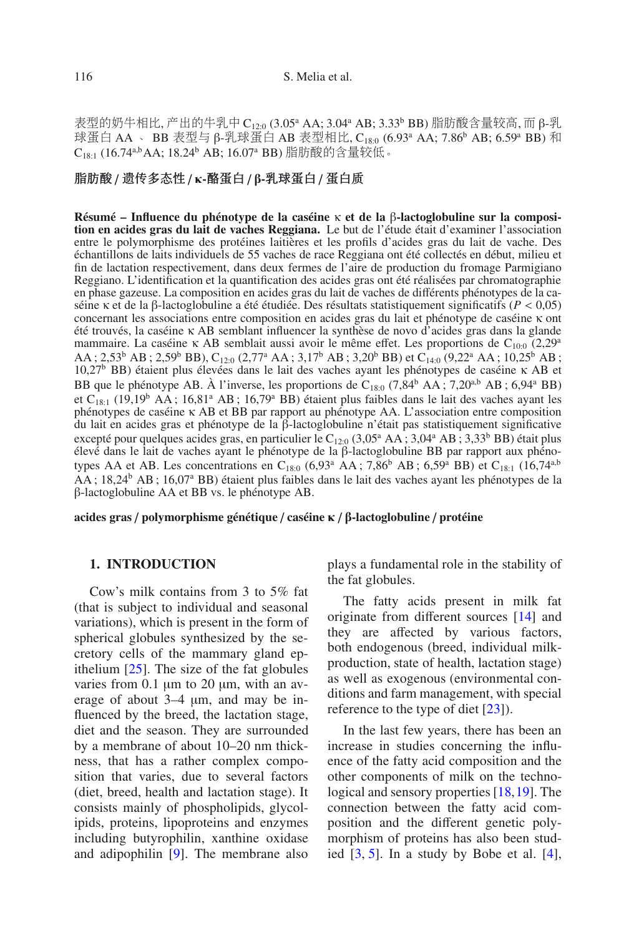表型的奶牛相比, 产出的牛乳中 C<sub>12:0</sub> (3.05<sup>a</sup> AA; 3.04<sup>a</sup> AB; 3.33<sup>b</sup> BB) 脂肪酸含量较高, 而 β-乳 球蛋白 AA 、 BB 表型与 β-乳球蛋白 AB 表型相比, C<sub>18:0</sub> (6.93<sup>a</sup> AA; 7.86<sup>b</sup> AB; 6.59<sup>a</sup> BB) 和  $C_{18:1}$  (16.74<sup>a,b</sup> AA; 18.24<sup>b</sup> AB; 16.07<sup>a</sup> BB) 脂肪酸的含量较低。

## 脂肪酸 / 遗传多态性 / κ**-**酪蛋白 / β**-**乳球蛋白 / 蛋白质

**Résumé – Influence du phénotype de la caséine** κ **et de la** β**-lactoglobuline sur la composition en acides gras du lait de vaches Reggiana.** Le but de l'étude était d'examiner l'association entre le polymorphisme des protéines laitières et les profils d'acides gras du lait de vache. Des échantillons de laits individuels de 55 vaches de race Reggiana ont été collectés en début, milieu et fin de lactation respectivement, dans deux fermes de l'aire de production du fromage Parmigiano Reggiano. L'identification et la quantification des acides gras ont été réalisées par chromatographie en phase gazeuse. La composition en acides gras du lait de vaches de différents phénotypes de la caséine κ et de la β-lactoglobuline a été étudiée. Des résultats statistiquement significatifs (*P* < 0,05) concernant les associations entre composition en acides gras du lait et phénotype de caséine κ ont été trouvés, la caséine κ AB semblant influencer la synthèse de novo d'acides gras dans la glande mammaire. La caséine κ AB semblait aussi avoir le même effet. Les proportions de C<sub>10:0</sub> (2,29<sup>a</sup>)  $AA$ ; 2,53<sup>b</sup> AB; 2,59<sup>b</sup> BB), C<sub>12:0</sub> (2,77<sup>a</sup> AA; 3,17<sup>b</sup> AB; 3,20<sup>b</sup> BB) et C<sub>14:0</sub> (9,22<sup>a</sup> AA; 10,25<sup>b</sup> AB; 10,27b BB) étaient plus élevées dans le lait des vaches ayant les phénotypes de caséine κ AB et BB que le phénotype AB. À l'inverse, les proportions de  $C_{18:0}$  (7,84<sup>b</sup> AA ; 7,20<sup>a,b</sup> AB ; 6,94<sup>a</sup> BB) et  $C_{18:1}$  (19,19<sup>b</sup> AA ; 16,81<sup>a</sup> AB ; 16,79<sup>a</sup> BB) étaient plus faibles dans le lait des vaches ayant les phénotypes de caséine κ AB et BB par rapport au phénotype AA. L'association entre composition du lait en acides gras et phénotype de la β-lactoglobuline n'était pas statistiquement significative excepté pour quelques acides gras, en particulier le  $C_{12:0}$  (3,05<sup>a</sup> AA; 3,04<sup>a</sup> AB; 3,33<sup>b</sup> BB) était plus élevé dans le lait de vaches ayant le phénotype de la β-lactoglobuline BB par rapport aux phénotypes AA et AB. Les concentrations en C<sub>18:0</sub>  $(6.93^{\circ}$  AA; 7,86<sup>b</sup> AB; 6,59<sup>a</sup> BB) et C<sub>18:1</sub> (16,74<sup>a,b</sup>) AA ; 18,24b AB ; 16,07a BB) étaient plus faibles dans le lait des vaches ayant les phénotypes de la β-lactoglobuline AA et BB vs. le phénotype AB.

**acides gras** / **polymorphisme génétique** / **caséine** κ / β**-lactoglobuline** / **protéine**

#### **1. INTRODUCTION**

Cow's milk contains from 3 to 5% fat (that is subject to individual and seasonal variations), which is present in the form of spherical globules synthesized by the secretory cells of the mammary gland epithelium [\[25\]](#page-7-0). The size of the fat globules varies from 0.1 μm to 20 μm, with an average of about 3–4 μm, and may be influenced by the breed, the lactation stage, diet and the season. They are surrounded by a membrane of about 10–20 nm thickness, that has a rather complex composition that varies, due to several factors (diet, breed, health and lactation stage). It consists mainly of phospholipids, glycolipids, proteins, lipoproteins and enzymes including butyrophilin, xanthine oxidase and adipophilin [\[9\]](#page-7-1). The membrane also plays a fundamental role in the stability of the fat globules.

The fatty acids present in milk fat originate from different sources [\[14\]](#page-7-2) and they are affected by various factors, both endogenous (breed, individual milkproduction, state of health, lactation stage) as well as exogenous (environmental conditions and farm management, with special reference to the type of diet [\[23\]](#page-7-3)).

In the last few years, there has been an increase in studies concerning the influence of the fatty acid composition and the other components of milk on the technological and sensory properties [\[18,](#page-7-4)[19\]](#page-7-5). The connection between the fatty acid composition and the different genetic polymorphism of proteins has also been studied  $[3, 5]$  $[3, 5]$  $[3, 5]$ . In a study by Bobe et al.  $[4]$  $[4]$ ,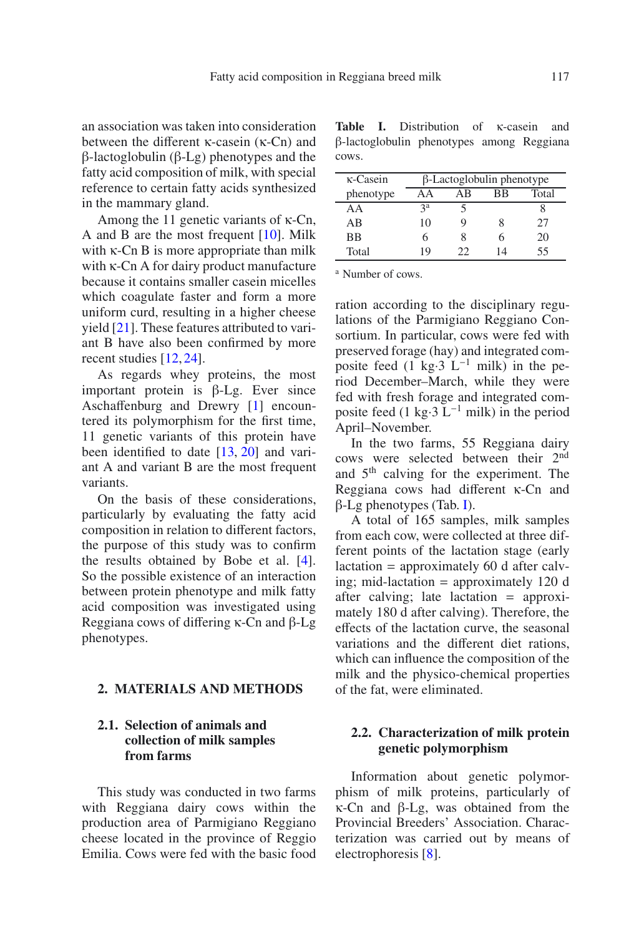an association was taken into consideration between the different κ-casein (κ-Cn) and β-lactoglobulin (β-Lg) phenotypes and the fatty acid composition of milk, with special reference to certain fatty acids synthesized in the mammary gland.

Among the 11 genetic variants of κ-Cn, A and B are the most frequent [\[10](#page-7-6)]. Milk with κ-Cn B is more appropriate than milk with κ-Cn A for dairy product manufacture because it contains smaller casein micelles which coagulate faster and form a more uniform curd, resulting in a higher cheese yield [\[21\]](#page-7-7). These features attributed to variant B have also been confirmed by more recent studies [\[12,](#page-7-8) [24\]](#page-7-9).

As regards whey proteins, the most important protein is β-Lg. Ever since Aschaffenburg and Drewry [\[1](#page-6-3)] encountered its polymorphism for the first time, 11 genetic variants of this protein have been identified to date [\[13](#page-7-10), [20](#page-7-11)] and variant A and variant B are the most frequent variants.

On the basis of these considerations, particularly by evaluating the fatty acid composition in relation to different factors, the purpose of this study was to confirm the results obtained by Bobe et al. [\[4\]](#page-6-2). So the possible existence of an interaction between protein phenotype and milk fatty acid composition was investigated using Reggiana cows of differing κ-Cn and β-Lg phenotypes.

#### **2. MATERIALS AND METHODS**

## **2.1. Selection of animals and collection of milk samples from farms**

This study was conducted in two farms with Reggiana dairy cows within the production area of Parmigiano Reggiano cheese located in the province of Reggio Emilia. Cows were fed with the basic food

<span id="page-2-0"></span>**Table I.** Distribution of κ-casein and β-lactoglobulin phenotypes among Reggiana cows.

| $\kappa$ -Casein | $\beta$ -Lactoglobulin phenotype |    |    |       |
|------------------|----------------------------------|----|----|-------|
| phenotype        | ΑA                               | ΑB | RВ | Total |
| ΑA               | $a^a$                            |    |    |       |
| AB               | 10                               | Q  |    | 27    |
| <b>BB</b>        | 6                                |    |    | 20    |
| Total            | 19                               | フフ | 14 | 55    |

<sup>a</sup> Number of cows.

ration according to the disciplinary regulations of the Parmigiano Reggiano Consortium. In particular, cows were fed with preserved forage (hay) and integrated composite feed (1 kg⋅3  $L^{-1}$  milk) in the period December–March, while they were fed with fresh forage and integrated composite feed (1 kg⋅3  $L^{-1}$  milk) in the period April–November.

In the two farms, 55 Reggiana dairy cows were selected between their 2nd and 5th calving for the experiment. The Reggiana cows had different κ-Cn and β-Lg phenotypes (Tab. [I\)](#page-2-0).

A total of 165 samples, milk samples from each cow, were collected at three different points of the lactation stage (early lactation = approximately 60 d after calving; mid-lactation = approximately 120 d after calving; late lactation = approximately 180 d after calving). Therefore, the effects of the lactation curve, the seasonal variations and the different diet rations, which can influence the composition of the milk and the physico-chemical properties of the fat, were eliminated.

### **2.2. Characterization of milk protein genetic polymorphism**

Information about genetic polymorphism of milk proteins, particularly of κ-Cn and β-Lg, was obtained from the Provincial Breeders' Association. Characterization was carried out by means of electrophoresis [\[8\]](#page-7-12).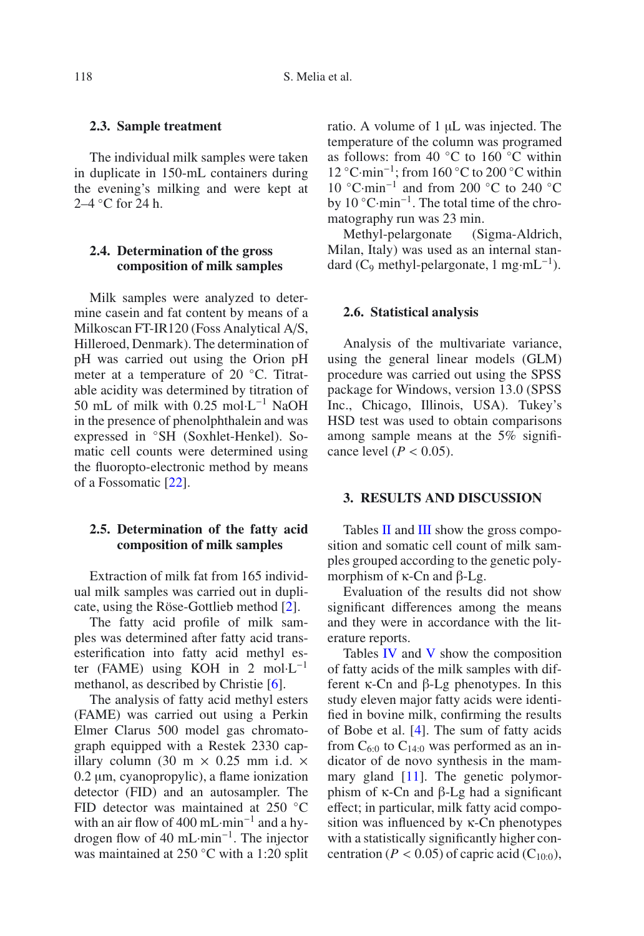#### **2.3. Sample treatment**

The individual milk samples were taken in duplicate in 150-mL containers during the evening's milking and were kept at 2–4 ◦C for 24 h.

#### **2.4. Determination of the gross composition of milk samples**

Milk samples were analyzed to determine casein and fat content by means of a Milkoscan FT-IR120 (Foss Analytical A/S, Hilleroed, Denmark). The determination of pH was carried out using the Orion pH meter at a temperature of 20 ◦C. Titratable acidity was determined by titration of 50 mL of milk with 0.25 mol·L−<sup>1</sup> NaOH in the presence of phenolphthalein and was expressed in ◦SH (Soxhlet-Henkel). Somatic cell counts were determined using the fluoropto-electronic method by means of a Fossomatic [\[22\]](#page-7-13).

### **2.5. Determination of the fatty acid composition of milk samples**

Extraction of milk fat from 165 individual milk samples was carried out in duplicate, using the Röse-Gottlieb method [\[2\]](#page-6-4).

The fatty acid profile of milk samples was determined after fatty acid transesterification into fatty acid methyl ester (FAME) using KOH in 2 mol⋅L<sup>-1</sup> methanol, as described by Christie [\[6](#page-7-14)].

The analysis of fatty acid methyl esters (FAME) was carried out using a Perkin Elmer Clarus 500 model gas chromatograph equipped with a Restek 2330 capillary column (30 m  $\times$  0.25 mm i.d.  $\times$ 0.2 μm, cyanopropylic), a flame ionization detector (FID) and an autosampler. The FID detector was maintained at 250 ◦C with an air flow of 400 mL·min−<sup>1</sup> and a hydrogen flow of 40 mL·min−1. The injector was maintained at 250 °C with a 1:20 split ratio. A volume of 1 μL was injected. The temperature of the column was programed as follows: from 40 ◦C to 160 ◦C within 12 ◦C·min−1; from 160 ◦C to 200 ◦C within 10 ◦C·min−<sup>1</sup> and from 200 ◦C to 240 ◦C by 10 ◦C·min−1. The total time of the chromatography run was 23 min.

Methyl-pelargonate (Sigma-Aldrich, Milan, Italy) was used as an internal standard ( $C_9$  methyl-pelargonate, 1 mg·mL<sup>-1</sup>).

#### **2.6. Statistical analysis**

Analysis of the multivariate variance, using the general linear models (GLM) procedure was carried out using the SPSS package for Windows, version 13.0 (SPSS Inc., Chicago, Illinois, USA). Tukey's HSD test was used to obtain comparisons among sample means at the 5% significance level ( $P < 0.05$ ).

#### **3. RESULTS AND DISCUSSION**

Tables [II](#page-4-0) and [III](#page-4-1) show the gross composition and somatic cell count of milk samples grouped according to the genetic polymorphism of κ-Cn and β-Lg.

Evaluation of the results did not show significant differences among the means and they were in accordance with the literature reports.

Tables [IV](#page-4-2) and [V](#page-5-0) show the composition of fatty acids of the milk samples with different κ-Cn and β-Lg phenotypes. In this study eleven major fatty acids were identified in bovine milk, confirming the results of Bobe et al. [\[4](#page-6-2)]. The sum of fatty acids from  $C_{6:0}$  to  $C_{14:0}$  was performed as an indicator of de novo synthesis in the mammary gland [\[11\]](#page-7-15). The genetic polymorphism of  $κ$ -Cn and  $β$ -Lg had a significant effect; in particular, milk fatty acid composition was influenced by κ-Cn phenotypes with a statistically significantly higher concentration ( $P < 0.05$ ) of capric acid ( $C_{10:0}$ ),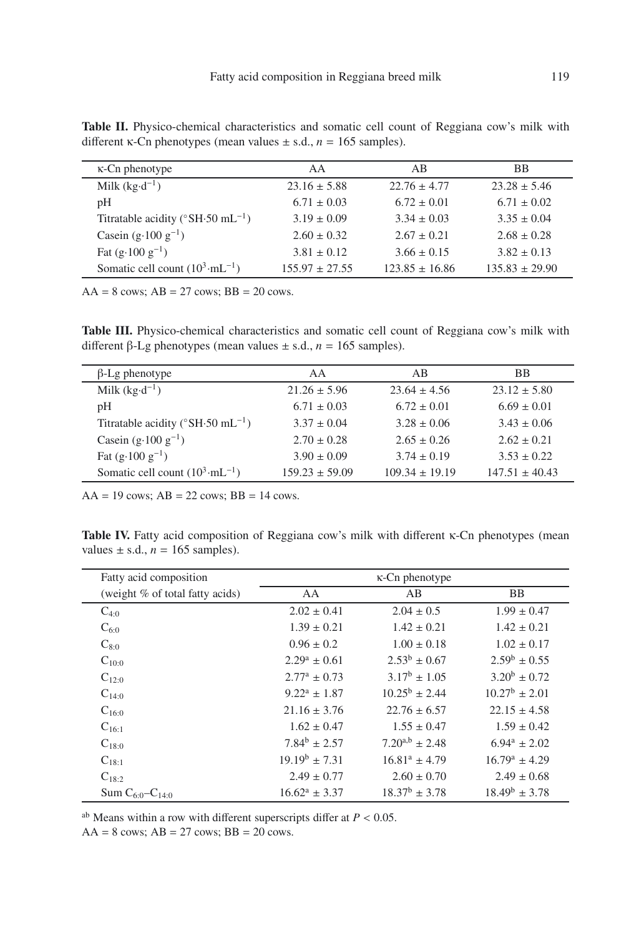| $\kappa$ -Cn phenotype                                           | AA                 | AB                 | BB                 |
|------------------------------------------------------------------|--------------------|--------------------|--------------------|
| Milk $(kg \cdot d^{-1})$                                         | $23.16 \pm 5.88$   | $22.76 \pm 4.77$   | $23.28 \pm 5.46$   |
| pH                                                               | $6.71 \pm 0.03$    | $6.72 \pm 0.01$    | $6.71 \pm 0.02$    |
| Titratable acidity ( $^{\circ}$ SH $\cdot$ 50 mL <sup>-1</sup> ) | $3.19 \pm 0.09$    | $3.34 \pm 0.03$    | $3.35 \pm 0.04$    |
| Casein $(g \cdot 100 \text{ g}^{-1})$                            | $2.60 \pm 0.32$    | $2.67 + 0.21$      | $2.68 \pm 0.28$    |
| Fat $(g.100 g^{-1})$                                             | $3.81 \pm 0.12$    | $3.66 \pm 0.15$    | $3.82 \pm 0.13$    |
| Somatic cell count $(10^3 \text{·mL}^{-1})$                      | $155.97 \pm 27.55$ | $123.85 \pm 16.86$ | $135.83 \pm 29.90$ |

<span id="page-4-1"></span><span id="page-4-0"></span>Table II. Physico-chemical characteristics and somatic cell count of Reggiana cow's milk with different  $\kappa$ -Cn phenotypes (mean values  $\pm$  s.d.,  $n = 165$  samples).

 $AA = 8$  cows;  $AB = 27$  cows;  $BB = 20$  cows.

<span id="page-4-2"></span>Table III. Physico-chemical characteristics and somatic cell count of Reggiana cow's milk with different β-Lg phenotypes (mean values  $\pm$  s.d., *n* = 165 samples).

| $\beta$ -Lg phenotype                                            | AA                 | AB                 | <b>BB</b>          |
|------------------------------------------------------------------|--------------------|--------------------|--------------------|
| Milk $(kg \cdot d^{-1})$                                         | $21.26 \pm 5.96$   | $23.64 \pm 4.56$   | $23.12 \pm 5.80$   |
| pH                                                               | $6.71 \pm 0.03$    | $6.72 \pm 0.01$    | $6.69 \pm 0.01$    |
| Titratable acidity ( $^{\circ}$ SH $\cdot$ 50 mL <sup>-1</sup> ) | $3.37 \pm 0.04$    | $3.28 \pm 0.06$    | $3.43 \pm 0.06$    |
| Casein $(g.100 g^{-1})$                                          | $2.70 \pm 0.28$    | $2.65 \pm 0.26$    | $2.62 \pm 0.21$    |
| Fat $(g.100 g^{-1})$                                             | $3.90 \pm 0.09$    | $3.74 \pm 0.19$    | $3.53 \pm 0.22$    |
| Somatic cell count $(10^3 \text{·mL}^{-1})$                      | $159.23 \pm 59.09$ | $109.34 \pm 19.19$ | $147.51 \pm 40.43$ |

 $AA = 19$  cows;  $AB = 22$  cows;  $BB = 14$  cows.

**Table IV.** Fatty acid composition of Reggiana cow's milk with different κ-Cn phenotypes (mean values  $\pm$  s.d.,  $n = 165$  samples).

| Fatty acid composition          | $\kappa$ -Cn phenotype  |                        |                        |
|---------------------------------|-------------------------|------------------------|------------------------|
| (weight % of total fatty acids) | AA                      | AB                     | BB                     |
| $C_{4:0}$                       | $2.02 \pm 0.41$         | $2.04 \pm 0.5$         | $1.99 \pm 0.47$        |
| $C_{6:0}$                       | $1.39 \pm 0.21$         | $1.42 \pm 0.21$        | $1.42 \pm 0.21$        |
| $C_{8:0}$                       | $0.96 \pm 0.2$          | $1.00 \pm 0.18$        | $1.02 \pm 0.17$        |
| $C_{10:0}$                      | $2.29^a \pm 0.61$       | $2.53^b \pm 0.67$      | $2.59^b \pm 0.55$      |
| $C_{12:0}$                      | $2.77^{\rm a} \pm 0.73$ | $3.17^b \pm 1.05$      | $3.20^b \pm 0.72$      |
| $C_{14:0}$                      | $9.22^a \pm 1.87$       | $10.25^{\rm b} + 2.44$ | $10.27^{\rm b} + 2.01$ |
| $C_{16:0}$                      | $21.16 \pm 3.76$        | $22.76 \pm 6.57$       | $22.15 \pm 4.58$       |
| $C_{16:1}$                      | $1.62 \pm 0.47$         | $1.55 \pm 0.47$        | $1.59 \pm 0.42$        |
| $C_{18:0}$                      | $7.84^b \pm 2.57$       | $7.20^{a,b} \pm 2.48$  | $6.94^a \pm 2.02$      |
| $C_{18:1}$                      | $19.19^b \pm 7.31$      | $16.81^a \pm 4.79$     | $16.79^a \pm 4.29$     |
| $C_{18:2}$                      | $2.49 \pm 0.77$         | $2.60 \pm 0.70$        | $2.49 \pm 0.68$        |
| Sum $C_{6:0}-C_{14:0}$          | $16.62^a \pm 3.37$      | $18.37^b \pm 3.78$     | $18.49^b \pm 3.78$     |

<sup>ab</sup> Means within a row with different superscripts differ at  $P < 0.05$ .

 $AA = 8$  cows;  $AB = 27$  cows;  $BB = 20$  cows.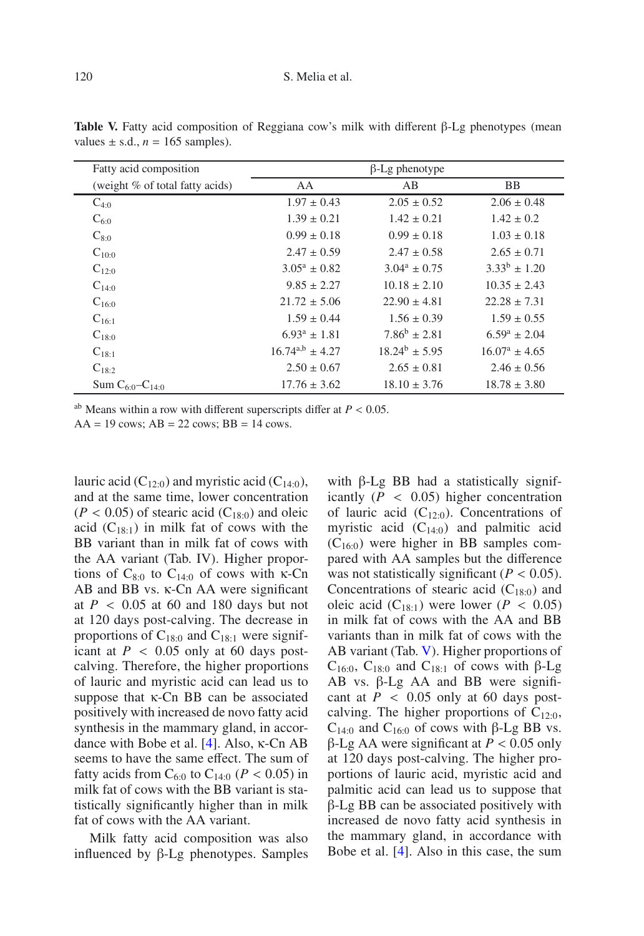| Fatty acid composition          | $\beta$ -Lg phenotype  |                    |                     |
|---------------------------------|------------------------|--------------------|---------------------|
| (weight % of total fatty acids) | AA                     | AB                 | BB.                 |
| $C_{4:0}$                       | $1.97 \pm 0.43$        | $2.05 \pm 0.52$    | $2.06 \pm 0.48$     |
| $C_{6:0}$                       | $1.39 \pm 0.21$        | $1.42 \pm 0.21$    | $1.42 \pm 0.2$      |
| $C_{8:0}$                       | $0.99 \pm 0.18$        | $0.99 \pm 0.18$    | $1.03 \pm 0.18$     |
| $C_{10:0}$                      | $2.47 \pm 0.59$        | $2.47 \pm 0.58$    | $2.65 \pm 0.71$     |
| $C_{12:0}$                      | $3.05^a \pm 0.82$      | $3.04^a \pm 0.75$  | $3.33^{b} \pm 1.20$ |
| $C_{14:0}$                      | $9.85 \pm 2.27$        | $10.18 \pm 2.10$   | $10.35 \pm 2.43$    |
| $C_{16:0}$                      | $21.72 \pm 5.06$       | $22.90 \pm 4.81$   | $22.28 \pm 7.31$    |
| $C_{16:1}$                      | $1.59 \pm 0.44$        | $1.56 \pm 0.39$    | $1.59 \pm 0.55$     |
| $C_{18:0}$                      | $6.93^a \pm 1.81$      | $7.86^b \pm 2.81$  | $6.59^a \pm 2.04$   |
| $C_{18:1}$                      | $16.74^{a,b} \pm 4.27$ | $18.24^b \pm 5.95$ | $16.07^a \pm 4.65$  |
| $C_{18:2}$                      | $2.50 \pm 0.67$        | $2.65 \pm 0.81$    | $2.46 \pm 0.56$     |
| Sum $C_{6:0}$ - $C_{14:0}$      | $17.76 \pm 3.62$       | $18.10 \pm 3.76$   | $18.78 \pm 3.80$    |

<span id="page-5-0"></span>**Table V.** Fatty acid composition of Reggiana cow's milk with different β-Lg phenotypes (mean values  $\pm$  s.d.,  $n = 165$  samples).

<sup>ab</sup> Means within a row with different superscripts differ at  $P < 0.05$ .

 $AA = 19$  cows;  $AB = 22$  cows;  $BB = 14$  cows.

lauric acid  $(C_{12:0})$  and myristic acid  $(C_{14:0})$ , and at the same time, lower concentration  $(P < 0.05)$  of stearic acid  $(C_{18:0})$  and oleic acid  $(C_{18:1})$  in milk fat of cows with the BB variant than in milk fat of cows with the AA variant (Tab. IV). Higher proportions of  $C_{8:0}$  to  $C_{14:0}$  of cows with  $\kappa$ -Cn AB and BB vs. κ-Cn AA were significant at  $P < 0.05$  at 60 and 180 days but not at 120 days post-calving. The decrease in proportions of  $C_{18:0}$  and  $C_{18:1}$  were significant at  $P < 0.05$  only at 60 days postcalving. Therefore, the higher proportions of lauric and myristic acid can lead us to suppose that κ-Cn BB can be associated positively with increased de novo fatty acid synthesis in the mammary gland, in accordance with Bobe et al. [\[4\]](#page-6-2). Also, κ-Cn AB seems to have the same effect. The sum of fatty acids from  $C_{6:0}$  to  $C_{14:0}$  (*P* < 0.05) in milk fat of cows with the BB variant is statistically significantly higher than in milk fat of cows with the AA variant.

Milk fatty acid composition was also influenced by β-Lg phenotypes. Samples with β-Lg BB had a statistically significantly  $(P < 0.05)$  higher concentration of lauric acid  $(C_{12:0})$ . Concentrations of myristic acid  $(C_{14:0})$  and palmitic acid  $(C_{16:0})$  were higher in BB samples compared with AA samples but the difference was not statistically significant  $(P < 0.05)$ . Concentrations of stearic acid  $(C_{18:0})$  and oleic acid  $(C_{18:1})$  were lower ( $P < 0.05$ ) in milk fat of cows with the AA and BB variants than in milk fat of cows with the AB variant (Tab. [V\)](#page-5-0). Higher proportions of C<sub>16:0</sub>, C<sub>18:0</sub> and C<sub>18:1</sub> of cows with β-Lg AB vs. β-Lg AA and BB were significant at  $P < 0.05$  only at 60 days postcalving. The higher proportions of  $C_{12:0}$ ,  $C_{14:0}$  and  $C_{16:0}$  of cows with β-Lg BB vs. β-Lg AA were significant at *P* < 0.05 only at 120 days post-calving. The higher proportions of lauric acid, myristic acid and palmitic acid can lead us to suppose that β-Lg BB can be associated positively with increased de novo fatty acid synthesis in the mammary gland, in accordance with Bobe et al. [\[4\]](#page-6-2). Also in this case, the sum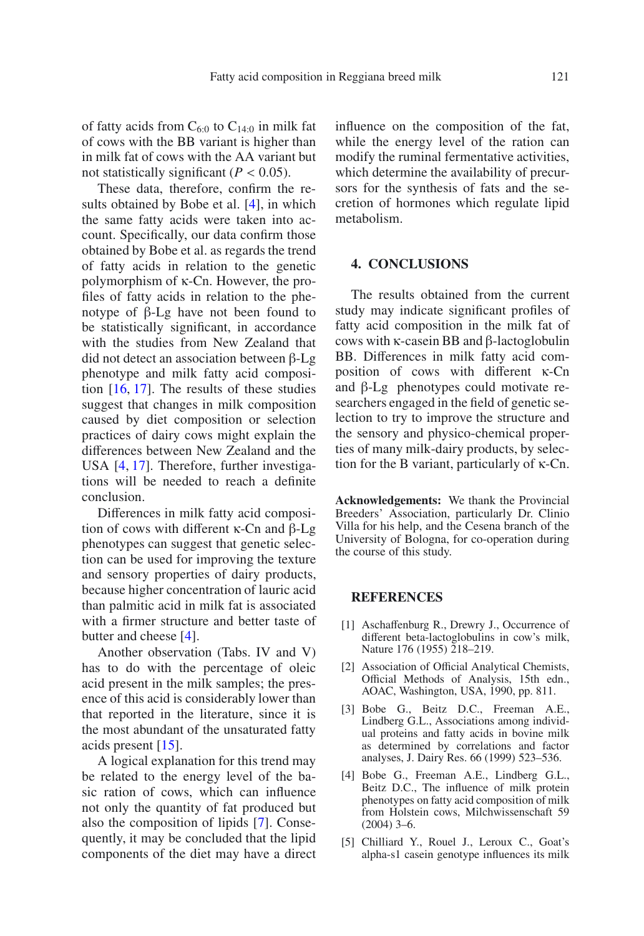These data, therefore, confirm the results obtained by Bobe et al. [\[4\]](#page-6-2), in which the same fatty acids were taken into account. Specifically, our data confirm those obtained by Bobe et al. as regards the trend of fatty acids in relation to the genetic polymorphism of κ-Cn. However, the profiles of fatty acids in relation to the phenotype of β-Lg have not been found to be statistically significant, in accordance with the studies from New Zealand that did not detect an association between β-Lg phenotype and milk fatty acid composition [\[16](#page-7-16), [17\]](#page-7-17). The results of these studies suggest that changes in milk composition caused by diet composition or selection practices of dairy cows might explain the differences between New Zealand and the USA [\[4](#page-6-2), [17\]](#page-7-17). Therefore, further investigations will be needed to reach a definite conclusion.

Differences in milk fatty acid composition of cows with different κ-Cn and β-Lg phenotypes can suggest that genetic selection can be used for improving the texture and sensory properties of dairy products, because higher concentration of lauric acid than palmitic acid in milk fat is associated with a firmer structure and better taste of butter and cheese [\[4](#page-6-2)].

Another observation (Tabs. IV and V) has to do with the percentage of oleic acid present in the milk samples; the presence of this acid is considerably lower than that reported in the literature, since it is the most abundant of the unsaturated fatty acids present  $[15]$  $[15]$ .

A logical explanation for this trend may be related to the energy level of the basic ration of cows, which can influence not only the quantity of fat produced but also the composition of lipids [\[7](#page-7-19)]. Consequently, it may be concluded that the lipid components of the diet may have a direct influence on the composition of the fat, while the energy level of the ration can modify the ruminal fermentative activities, which determine the availability of precursors for the synthesis of fats and the secretion of hormones which regulate lipid metabolism.

#### **4. CONCLUSIONS**

The results obtained from the current study may indicate significant profiles of fatty acid composition in the milk fat of cows with κ-casein BB and β-lactoglobulin BB. Differences in milk fatty acid composition of cows with different κ-Cn and β-Lg phenotypes could motivate researchers engaged in the field of genetic selection to try to improve the structure and the sensory and physico-chemical properties of many milk-dairy products, by selection for the B variant, particularly of κ-Cn.

**Acknowledgements:** We thank the Provincial Breeders' Association, particularly Dr. Clinio Villa for his help, and the Cesena branch of the University of Bologna, for co-operation during the course of this study.

#### **REFERENCES**

- <span id="page-6-3"></span>[1] Aschaffenburg R., Drewry J., Occurrence of different beta-lactoglobulins in cow's milk, Nature 176 (1955) 218–219.
- <span id="page-6-4"></span>[2] Association of Official Analytical Chemists, Official Methods of Analysis, 15th edn., AOAC, Washington, USA, 1990, pp. 811.
- <span id="page-6-0"></span>[3] Bobe G., Beitz D.C., Freeman A.E., Lindberg G.L., Associations among individual proteins and fatty acids in bovine milk as determined by correlations and factor analyses, J. Dairy Res. 66 (1999) 523–536.
- <span id="page-6-2"></span>[4] Bobe G., Freeman A.E., Lindberg G.L., Beitz D.C., The influence of milk protein phenotypes on fatty acid composition of milk from Holstein cows, Milchwissenschaft 59 (2004) 3–6.
- <span id="page-6-1"></span>[5] Chilliard Y., Rouel J., Leroux C., Goat's alpha-s1 casein genotype influences its milk